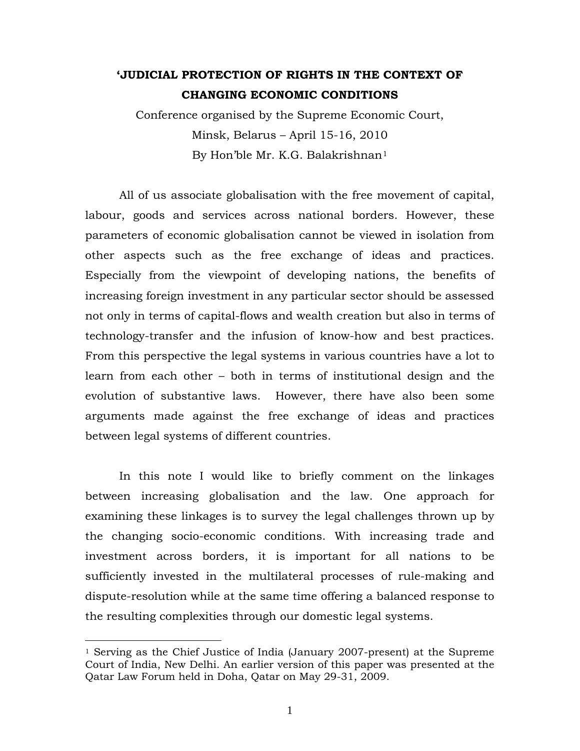## **'JUDICIAL PROTECTION OF RIGHTS IN THE CONTEXT OF CHANGING ECONOMIC CONDITIONS**

Conference organised by the Supreme Economic Court, Minsk, Belarus – April 15-16, 2010 By Hon'ble Mr. K.G. Balakrishnan[1](#page-0-0)

All of us associate globalisation with the free movement of capital, labour, goods and services across national borders. However, these parameters of economic globalisation cannot be viewed in isolation from other aspects such as the free exchange of ideas and practices. Especially from the viewpoint of developing nations, the benefits of increasing foreign investment in any particular sector should be assessed not only in terms of capital-flows and wealth creation but also in terms of technology-transfer and the infusion of know-how and best practices. From this perspective the legal systems in various countries have a lot to learn from each other – both in terms of institutional design and the evolution of substantive laws. However, there have also been some arguments made against the free exchange of ideas and practices between legal systems of different countries.

In this note I would like to briefly comment on the linkages between increasing globalisation and the law. One approach for examining these linkages is to survey the legal challenges thrown up by the changing socio-economic conditions. With increasing trade and investment across borders, it is important for all nations to be sufficiently invested in the multilateral processes of rule-making and dispute-resolution while at the same time offering a balanced response to the resulting complexities through our domestic legal systems.

<span id="page-0-0"></span><sup>1</sup> Serving as the Chief Justice of India (January 2007-present) at the Supreme Court of India, New Delhi. An earlier version of this paper was presented at the Qatar Law Forum held in Doha, Qatar on May 29-31, 2009.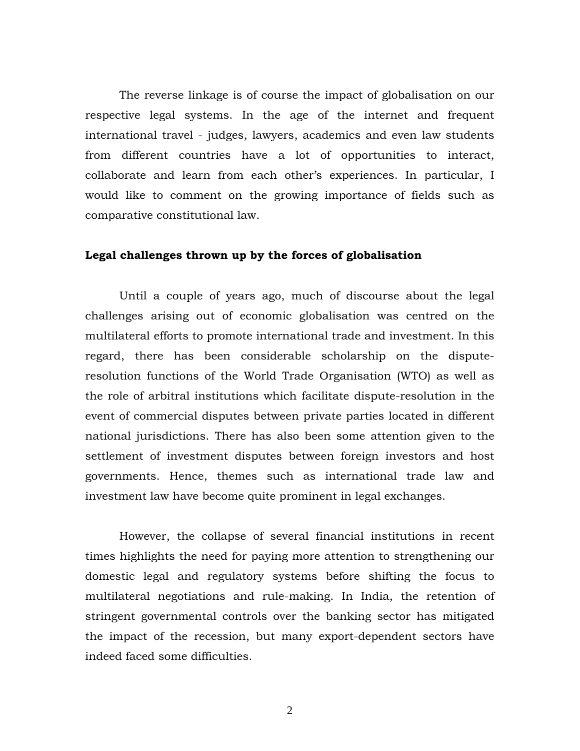The reverse linkage is of course the impact of globalisation on our respective legal systems. In the age of the internet and frequent international travel - judges, lawyers, academics and even law students from different countries have a lot of opportunities to interact, collaborate and learn from each other's experiences. In particular, I would like to comment on the growing importance of fields such as comparative constitutional law.

## **Legal challenges thrown up by the forces of globalisation**

Until a couple of years ago, much of discourse about the legal challenges arising out of economic globalisation was centred on the multilateral efforts to promote international trade and investment. In this regard, there has been considerable scholarship on the disputeresolution functions of the World Trade Organisation (WTO) as well as the role of arbitral institutions which facilitate dispute-resolution in the event of commercial disputes between private parties located in different national jurisdictions. There has also been some attention given to the settlement of investment disputes between foreign investors and host governments. Hence, themes such as international trade law and investment law have become quite prominent in legal exchanges.

However, the collapse of several financial institutions in recent times highlights the need for paying more attention to strengthening our domestic legal and regulatory systems before shifting the focus to multilateral negotiations and rule-making. In India, the retention of stringent governmental controls over the banking sector has mitigated the impact of the recession, but many export-dependent sectors have indeed faced some difficulties.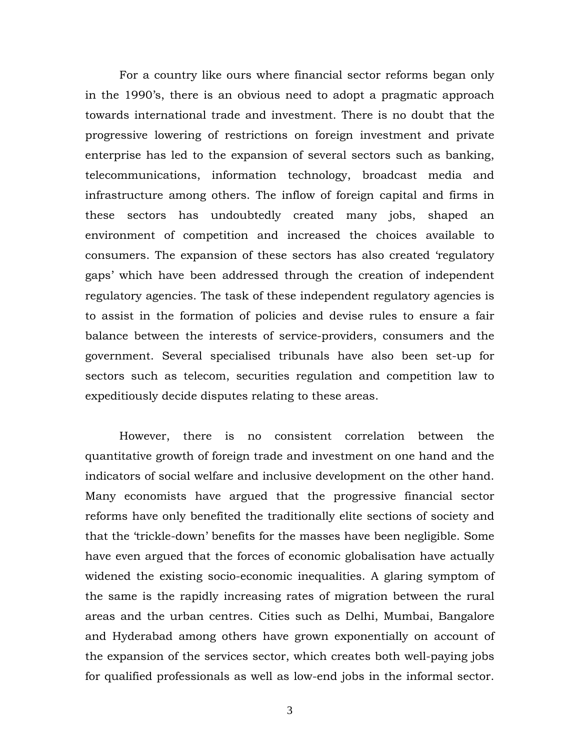For a country like ours where financial sector reforms began only in the 1990's, there is an obvious need to adopt a pragmatic approach towards international trade and investment. There is no doubt that the progressive lowering of restrictions on foreign investment and private enterprise has led to the expansion of several sectors such as banking, telecommunications, information technology, broadcast media and infrastructure among others. The inflow of foreign capital and firms in these sectors has undoubtedly created many jobs, shaped an environment of competition and increased the choices available to consumers. The expansion of these sectors has also created 'regulatory gaps' which have been addressed through the creation of independent regulatory agencies. The task of these independent regulatory agencies is to assist in the formation of policies and devise rules to ensure a fair balance between the interests of service-providers, consumers and the government. Several specialised tribunals have also been set-up for sectors such as telecom, securities regulation and competition law to expeditiously decide disputes relating to these areas.

However, there is no consistent correlation between the quantitative growth of foreign trade and investment on one hand and the indicators of social welfare and inclusive development on the other hand. Many economists have argued that the progressive financial sector reforms have only benefited the traditionally elite sections of society and that the 'trickle-down' benefits for the masses have been negligible. Some have even argued that the forces of economic globalisation have actually widened the existing socio-economic inequalities. A glaring symptom of the same is the rapidly increasing rates of migration between the rural areas and the urban centres. Cities such as Delhi, Mumbai, Bangalore and Hyderabad among others have grown exponentially on account of the expansion of the services sector, which creates both well-paying jobs for qualified professionals as well as low-end jobs in the informal sector.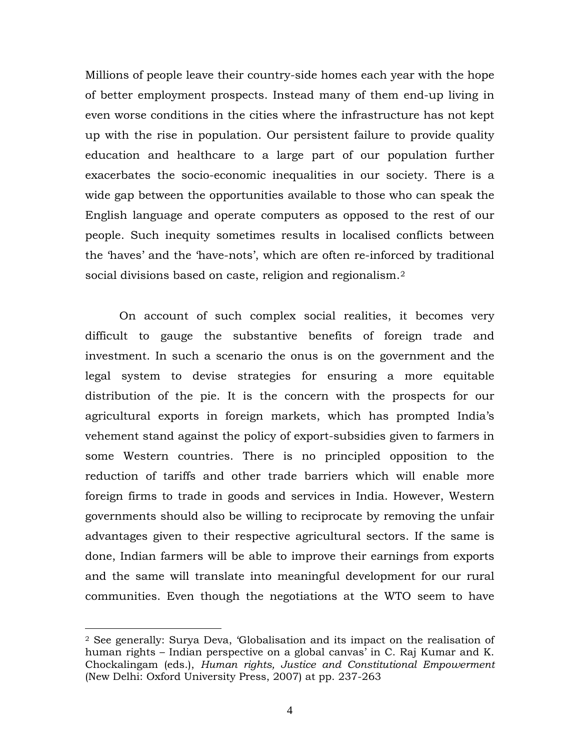Millions of people leave their country-side homes each year with the hope of better employment prospects. Instead many of them end-up living in even worse conditions in the cities where the infrastructure has not kept up with the rise in population. Our persistent failure to provide quality education and healthcare to a large part of our population further exacerbates the socio-economic inequalities in our society. There is a wide gap between the opportunities available to those who can speak the English language and operate computers as opposed to the rest of our people. Such inequity sometimes results in localised conflicts between the 'haves' and the 'have-nots', which are often re-inforced by traditional social divisions based on caste, religion and regionalism.<sup>[2](#page-3-0)</sup>

On account of such complex social realities, it becomes very difficult to gauge the substantive benefits of foreign trade and investment. In such a scenario the onus is on the government and the legal system to devise strategies for ensuring a more equitable distribution of the pie. It is the concern with the prospects for our agricultural exports in foreign markets, which has prompted India's vehement stand against the policy of export-subsidies given to farmers in some Western countries. There is no principled opposition to the reduction of tariffs and other trade barriers which will enable more foreign firms to trade in goods and services in India. However, Western governments should also be willing to reciprocate by removing the unfair advantages given to their respective agricultural sectors. If the same is done, Indian farmers will be able to improve their earnings from exports and the same will translate into meaningful development for our rural communities. Even though the negotiations at the WTO seem to have

<span id="page-3-0"></span><sup>2</sup> See generally: Surya Deva, 'Globalisation and its impact on the realisation of human rights – Indian perspective on a global canvas' in C. Raj Kumar and K. Chockalingam (eds.), *Human rights, Justice and Constitutional Empowerment* (New Delhi: Oxford University Press, 2007) at pp. 237-263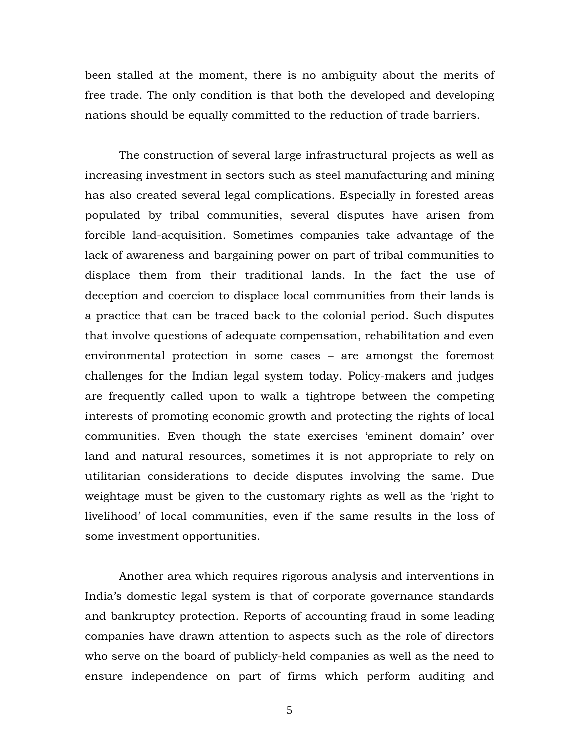been stalled at the moment, there is no ambiguity about the merits of free trade. The only condition is that both the developed and developing nations should be equally committed to the reduction of trade barriers.

The construction of several large infrastructural projects as well as increasing investment in sectors such as steel manufacturing and mining has also created several legal complications. Especially in forested areas populated by tribal communities, several disputes have arisen from forcible land-acquisition. Sometimes companies take advantage of the lack of awareness and bargaining power on part of tribal communities to displace them from their traditional lands. In the fact the use of deception and coercion to displace local communities from their lands is a practice that can be traced back to the colonial period. Such disputes that involve questions of adequate compensation, rehabilitation and even environmental protection in some cases – are amongst the foremost challenges for the Indian legal system today. Policy-makers and judges are frequently called upon to walk a tightrope between the competing interests of promoting economic growth and protecting the rights of local communities. Even though the state exercises 'eminent domain' over land and natural resources, sometimes it is not appropriate to rely on utilitarian considerations to decide disputes involving the same. Due weightage must be given to the customary rights as well as the 'right to livelihood' of local communities, even if the same results in the loss of some investment opportunities.

Another area which requires rigorous analysis and interventions in India's domestic legal system is that of corporate governance standards and bankruptcy protection. Reports of accounting fraud in some leading companies have drawn attention to aspects such as the role of directors who serve on the board of publicly-held companies as well as the need to ensure independence on part of firms which perform auditing and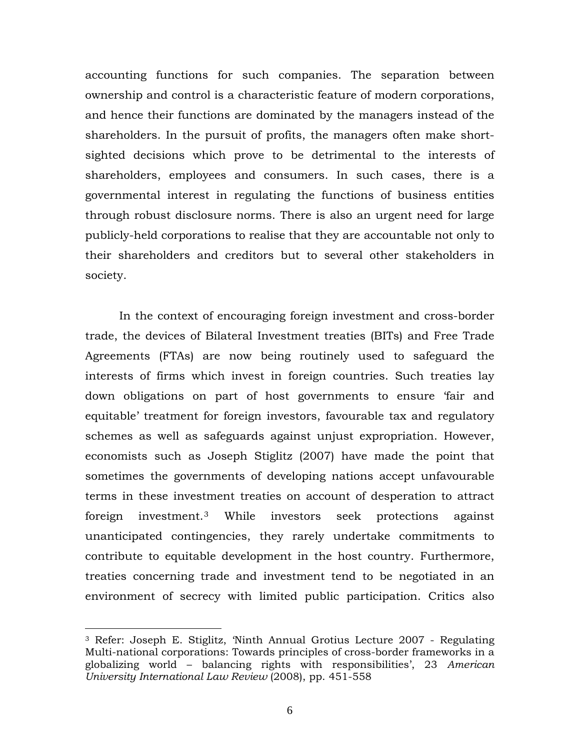accounting functions for such companies. The separation between ownership and control is a characteristic feature of modern corporations, and hence their functions are dominated by the managers instead of the shareholders. In the pursuit of profits, the managers often make shortsighted decisions which prove to be detrimental to the interests of shareholders, employees and consumers. In such cases, there is a governmental interest in regulating the functions of business entities through robust disclosure norms. There is also an urgent need for large publicly-held corporations to realise that they are accountable not only to their shareholders and creditors but to several other stakeholders in society.

In the context of encouraging foreign investment and cross-border trade, the devices of Bilateral Investment treaties (BITs) and Free Trade Agreements (FTAs) are now being routinely used to safeguard the interests of firms which invest in foreign countries. Such treaties lay down obligations on part of host governments to ensure 'fair and equitable' treatment for foreign investors, favourable tax and regulatory schemes as well as safeguards against unjust expropriation. However, economists such as Joseph Stiglitz (2007) have made the point that sometimes the governments of developing nations accept unfavourable terms in these investment treaties on account of desperation to attract foreign investment.[3](#page-5-0) While investors seek protections against unanticipated contingencies, they rarely undertake commitments to contribute to equitable development in the host country. Furthermore, treaties concerning trade and investment tend to be negotiated in an environment of secrecy with limited public participation. Critics also

<span id="page-5-0"></span><sup>3</sup> Refer: Joseph E. Stiglitz, 'Ninth Annual Grotius Lecture 2007 - Regulating Multi-national corporations: Towards principles of cross-border frameworks in a globalizing world – balancing rights with responsibilities', 23 *American University International Law Review* (2008), pp. 451-558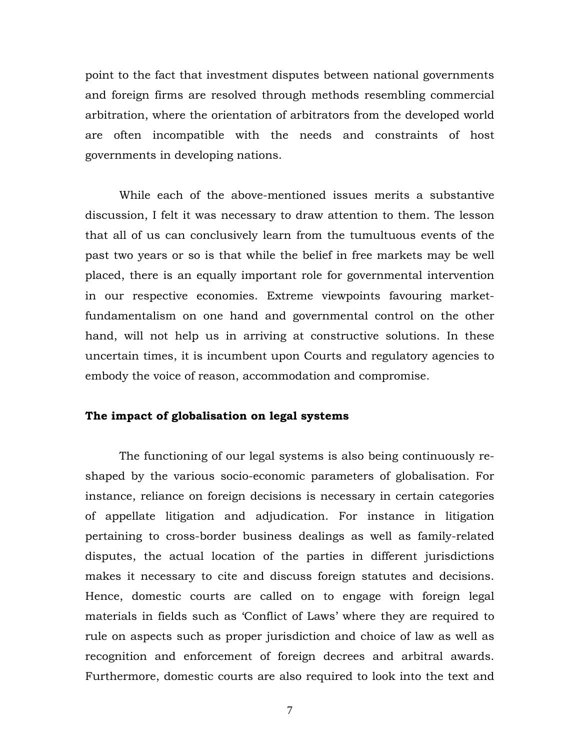point to the fact that investment disputes between national governments and foreign firms are resolved through methods resembling commercial arbitration, where the orientation of arbitrators from the developed world are often incompatible with the needs and constraints of host governments in developing nations.

While each of the above-mentioned issues merits a substantive discussion, I felt it was necessary to draw attention to them. The lesson that all of us can conclusively learn from the tumultuous events of the past two years or so is that while the belief in free markets may be well placed, there is an equally important role for governmental intervention in our respective economies. Extreme viewpoints favouring marketfundamentalism on one hand and governmental control on the other hand, will not help us in arriving at constructive solutions. In these uncertain times, it is incumbent upon Courts and regulatory agencies to embody the voice of reason, accommodation and compromise.

## **The impact of globalisation on legal systems**

The functioning of our legal systems is also being continuously reshaped by the various socio-economic parameters of globalisation. For instance, reliance on foreign decisions is necessary in certain categories of appellate litigation and adjudication. For instance in litigation pertaining to cross-border business dealings as well as family-related disputes, the actual location of the parties in different jurisdictions makes it necessary to cite and discuss foreign statutes and decisions. Hence, domestic courts are called on to engage with foreign legal materials in fields such as 'Conflict of Laws' where they are required to rule on aspects such as proper jurisdiction and choice of law as well as recognition and enforcement of foreign decrees and arbitral awards. Furthermore, domestic courts are also required to look into the text and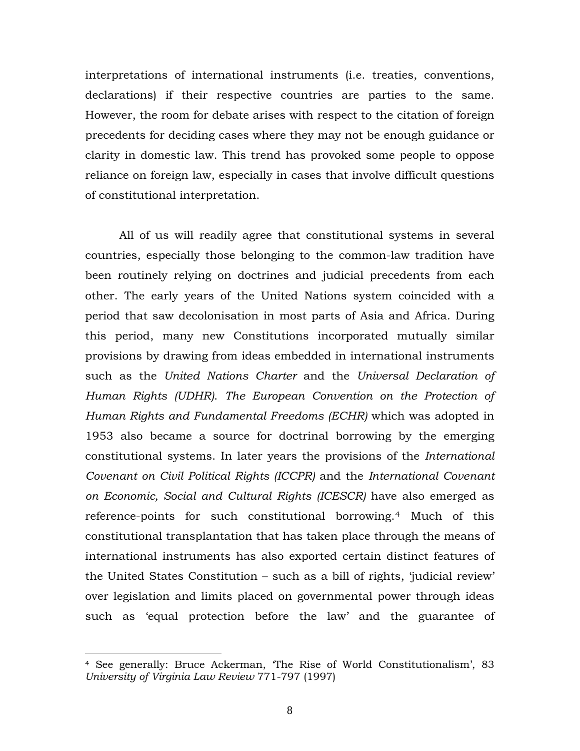interpretations of international instruments (i.e. treaties, conventions, declarations) if their respective countries are parties to the same. However, the room for debate arises with respect to the citation of foreign precedents for deciding cases where they may not be enough guidance or clarity in domestic law. This trend has provoked some people to oppose reliance on foreign law, especially in cases that involve difficult questions of constitutional interpretation.

All of us will readily agree that constitutional systems in several countries, especially those belonging to the common-law tradition have been routinely relying on doctrines and judicial precedents from each other. The early years of the United Nations system coincided with a period that saw decolonisation in most parts of Asia and Africa. During this period, many new Constitutions incorporated mutually similar provisions by drawing from ideas embedded in international instruments such as the *United Nations Charter* and the *Universal Declaration of Human Rights (UDHR)*. *The European Convention on the Protection of Human Rights and Fundamental Freedoms (ECHR)* which was adopted in 1953 also became a source for doctrinal borrowing by the emerging constitutional systems. In later years the provisions of the *International Covenant on Civil Political Rights (ICCPR)* and the *International Covenant on Economic, Social and Cultural Rights (ICESCR)* have also emerged as reference-points for such constitutional borrowing.[4](#page-7-0) Much of this constitutional transplantation that has taken place through the means of international instruments has also exported certain distinct features of the United States Constitution – such as a bill of rights, 'judicial review' over legislation and limits placed on governmental power through ideas such as 'equal protection before the law' and the guarantee of

<span id="page-7-0"></span><sup>4</sup> See generally: Bruce Ackerman, 'The Rise of World Constitutionalism', 83 *University of Virginia Law Review* 771-797 (1997)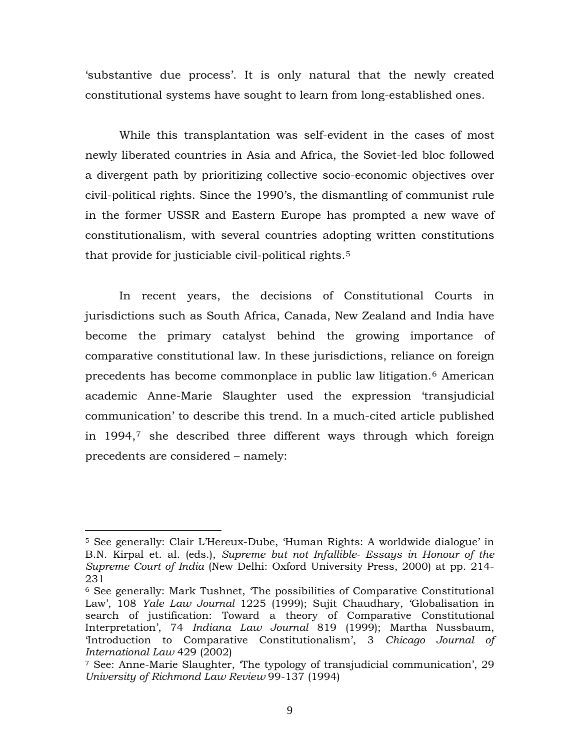'substantive due process'. It is only natural that the newly created constitutional systems have sought to learn from long-established ones.

While this transplantation was self-evident in the cases of most newly liberated countries in Asia and Africa, the Soviet-led bloc followed a divergent path by prioritizing collective socio-economic objectives over civil-political rights. Since the 1990's, the dismantling of communist rule in the former USSR and Eastern Europe has prompted a new wave of constitutionalism, with several countries adopting written constitutions that provide for justiciable civil-political rights.[5](#page-8-0)

In recent years, the decisions of Constitutional Courts in jurisdictions such as South Africa, Canada, New Zealand and India have become the primary catalyst behind the growing importance of comparative constitutional law. In these jurisdictions, reliance on foreign precedents has become commonplace in public law litigation.[6](#page-8-1) American academic Anne-Marie Slaughter used the expression 'transjudicial communication' to describe this trend. In a much-cited article published in 1994,[7](#page-8-2) she described three different ways through which foreign precedents are considered – namely:

<span id="page-8-0"></span><sup>5</sup> See generally: Clair L'Hereux-Dube, 'Human Rights: A worldwide dialogue' in B.N. Kirpal et. al. (eds.), *Supreme but not Infallible- Essays in Honour of the Supreme Court of India* (New Delhi: Oxford University Press, 2000) at pp. 214- 231

<span id="page-8-1"></span><sup>6</sup> See generally: Mark Tushnet, 'The possibilities of Comparative Constitutional Law', 108 *Yale Law Journal* 1225 (1999); Sujit Chaudhary, 'Globalisation in search of justification: Toward a theory of Comparative Constitutional Interpretation', 74 *Indiana Law Journal* 819 (1999); Martha Nussbaum, 'Introduction to Comparative Constitutionalism', 3 *Chicago Journal of International Law* 429 (2002)

<span id="page-8-2"></span><sup>7</sup> See: Anne-Marie Slaughter, 'The typology of transjudicial communication', 29 *University of Richmond Law Review* 99-137 (1994)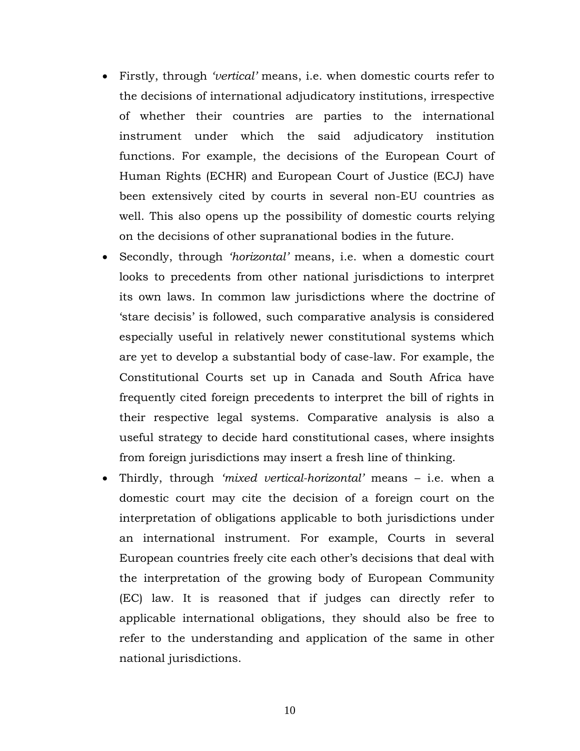- Firstly, through *'vertical'* means, i.e. when domestic courts refer to the decisions of international adjudicatory institutions, irrespective of whether their countries are parties to the international instrument under which the said adjudicatory institution functions. For example, the decisions of the European Court of Human Rights (ECHR) and European Court of Justice (ECJ) have been extensively cited by courts in several non-EU countries as well. This also opens up the possibility of domestic courts relying on the decisions of other supranational bodies in the future.
- Secondly, through *'horizontal'* means, i.e. when a domestic court looks to precedents from other national jurisdictions to interpret its own laws. In common law jurisdictions where the doctrine of 'stare decisis' is followed, such comparative analysis is considered especially useful in relatively newer constitutional systems which are yet to develop a substantial body of case-law. For example, the Constitutional Courts set up in Canada and South Africa have frequently cited foreign precedents to interpret the bill of rights in their respective legal systems. Comparative analysis is also a useful strategy to decide hard constitutional cases, where insights from foreign jurisdictions may insert a fresh line of thinking.
- Thirdly, through *'mixed vertical-horizontal'* means i.e. when a domestic court may cite the decision of a foreign court on the interpretation of obligations applicable to both jurisdictions under an international instrument. For example, Courts in several European countries freely cite each other's decisions that deal with the interpretation of the growing body of European Community (EC) law. It is reasoned that if judges can directly refer to applicable international obligations, they should also be free to refer to the understanding and application of the same in other national jurisdictions.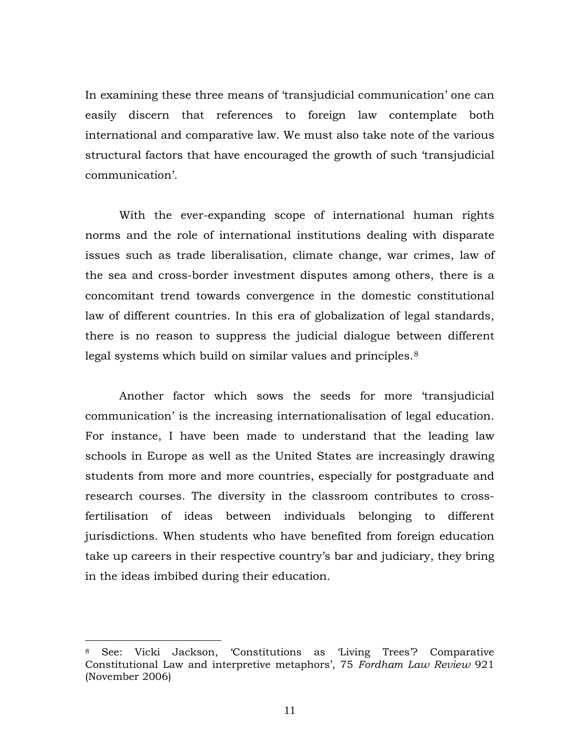In examining these three means of 'transjudicial communication' one can easily discern that references to foreign law contemplate both international and comparative law. We must also take note of the various structural factors that have encouraged the growth of such 'transjudicial communication'.

With the ever-expanding scope of international human rights norms and the role of international institutions dealing with disparate issues such as trade liberalisation, climate change, war crimes, law of the sea and cross-border investment disputes among others, there is a concomitant trend towards convergence in the domestic constitutional law of different countries. In this era of globalization of legal standards, there is no reason to suppress the judicial dialogue between different legal systems which build on similar values and principles.<sup>[8](#page-10-0)</sup>

Another factor which sows the seeds for more 'transjudicial communication' is the increasing internationalisation of legal education. For instance, I have been made to understand that the leading law schools in Europe as well as the United States are increasingly drawing students from more and more countries, especially for postgraduate and research courses. The diversity in the classroom contributes to crossfertilisation of ideas between individuals belonging to different jurisdictions. When students who have benefited from foreign education take up careers in their respective country's bar and judiciary, they bring in the ideas imbibed during their education.

<span id="page-10-0"></span><sup>8</sup> See: Vicki Jackson, 'Constitutions as 'Living Trees'? Comparative Constitutional Law and interpretive metaphors', 75 *Fordham Law Review* 921 (November 2006)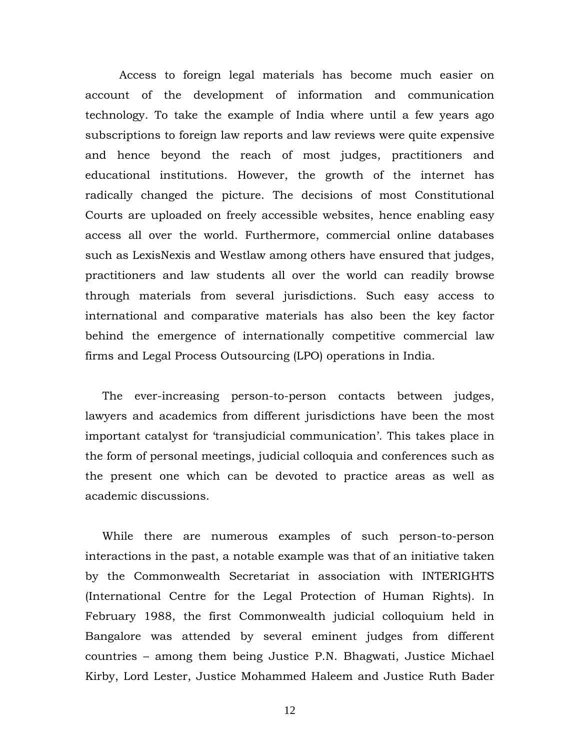Access to foreign legal materials has become much easier on account of the development of information and communication technology. To take the example of India where until a few years ago subscriptions to foreign law reports and law reviews were quite expensive and hence beyond the reach of most judges, practitioners and educational institutions. However, the growth of the internet has radically changed the picture. The decisions of most Constitutional Courts are uploaded on freely accessible websites, hence enabling easy access all over the world. Furthermore, commercial online databases such as LexisNexis and Westlaw among others have ensured that judges, practitioners and law students all over the world can readily browse through materials from several jurisdictions. Such easy access to international and comparative materials has also been the key factor behind the emergence of internationally competitive commercial law firms and Legal Process Outsourcing (LPO) operations in India.

The ever-increasing person-to-person contacts between judges, lawyers and academics from different jurisdictions have been the most important catalyst for 'transjudicial communication'. This takes place in the form of personal meetings, judicial colloquia and conferences such as the present one which can be devoted to practice areas as well as academic discussions.

While there are numerous examples of such person-to-person interactions in the past, a notable example was that of an initiative taken by the Commonwealth Secretariat in association with INTERIGHTS (International Centre for the Legal Protection of Human Rights). In February 1988, the first Commonwealth judicial colloquium held in Bangalore was attended by several eminent judges from different countries – among them being Justice P.N. Bhagwati, Justice Michael Kirby, Lord Lester, Justice Mohammed Haleem and Justice Ruth Bader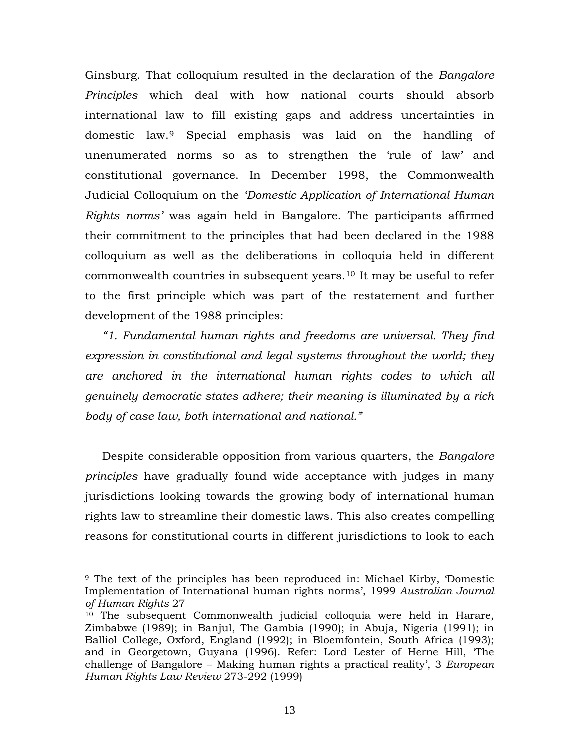Ginsburg. That colloquium resulted in the declaration of the *Bangalore Principles* which deal with how national courts should absorb international law to fill existing gaps and address uncertainties in domestic law.[9](#page-12-0) Special emphasis was laid on the handling of unenumerated norms so as to strengthen the 'rule of law' and constitutional governance. In December 1998, the Commonwealth Judicial Colloquium on the *'Domestic Application of International Human Rights norms'* was again held in Bangalore. The participants affirmed their commitment to the principles that had been declared in the 1988 colloquium as well as the deliberations in colloquia held in different commonwealth countries in subsequent years.[10](#page-12-1) It may be useful to refer to the first principle which was part of the restatement and further development of the 1988 principles:

*"1. Fundamental human rights and freedoms are universal. They find expression in constitutional and legal systems throughout the world; they are anchored in the international human rights codes to which all genuinely democratic states adhere; their meaning is illuminated by a rich body of case law, both international and national."* 

Despite considerable opposition from various quarters, the *Bangalore principles* have gradually found wide acceptance with judges in many jurisdictions looking towards the growing body of international human rights law to streamline their domestic laws. This also creates compelling reasons for constitutional courts in different jurisdictions to look to each

<span id="page-12-0"></span><sup>9</sup> The text of the principles has been reproduced in: Michael Kirby, 'Domestic Implementation of International human rights norms', 1999 *Australian Journal of Human Rights* 27

<span id="page-12-1"></span><sup>10</sup> The subsequent Commonwealth judicial colloquia were held in Harare, Zimbabwe (1989); in Banjul, The Gambia (1990); in Abuja, Nigeria (1991); in Balliol College, Oxford, England (1992); in Bloemfontein, South Africa (1993); and in Georgetown, Guyana (1996). Refer: Lord Lester of Herne Hill, 'The challenge of Bangalore – Making human rights a practical reality', 3 *European Human Rights Law Review* 273-292 (1999)